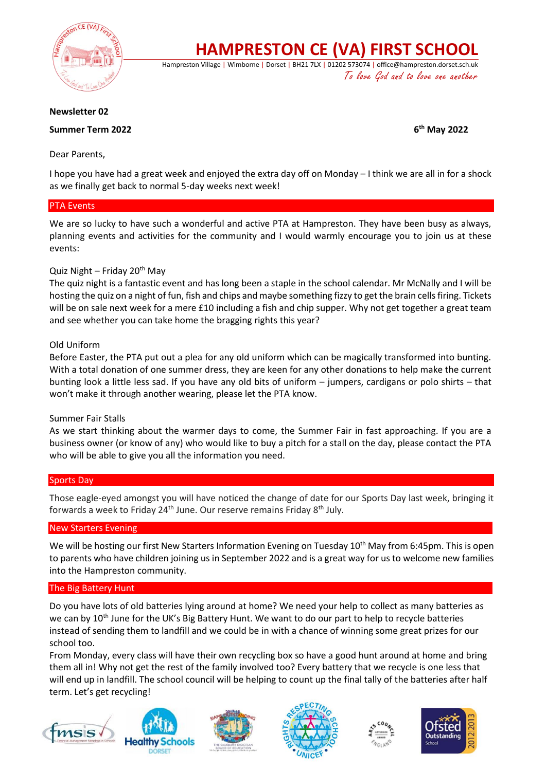

**HAMPRESTON CE (VA) FIRST SCHOOL**

Hampreston Village | Wimborne | Dorset | BH21 7LX | 01202 573074 | office@hampreston.dorset.sch.uk To love God and to love one another

### **Newsletter 02**

# **Summer Term 2022**

**th May 2022**

# Dear Parents,

I hope you have had a great week and enjoyed the extra day off on Monday – I think we are all in for a shock as we finally get back to normal 5-day weeks next week!

### PTA Events

We are so lucky to have such a wonderful and active PTA at Hampreston. They have been busy as always, planning events and activities for the community and I would warmly encourage you to join us at these events:

# Quiz Night – Friday 20<sup>th</sup> May

The quiz night is a fantastic event and has long been a staple in the school calendar. Mr McNally and I will be hosting the quiz on a night of fun, fish and chips and maybe something fizzy to get the brain cells firing. Tickets will be on sale next week for a mere £10 including a fish and chip supper. Why not get together a great team and see whether you can take home the bragging rights this year?

# Old Uniform

Before Easter, the PTA put out a plea for any old uniform which can be magically transformed into bunting. With a total donation of one summer dress, they are keen for any other donations to help make the current bunting look a little less sad. If you have any old bits of uniform – jumpers, cardigans or polo shirts – that won't make it through another wearing, please let the PTA know.

### Summer Fair Stalls

As we start thinking about the warmer days to come, the Summer Fair in fast approaching. If you are a business owner (or know of any) who would like to buy a pitch for a stall on the day, please contact the PTA who will be able to give you all the information you need.

### Sports Day

Those eagle-eyed amongst you will have noticed the change of date for our Sports Day last week, bringing it forwards a week to Friday 24<sup>th</sup> June. Our reserve remains Friday 8<sup>th</sup> July.

### New Starters Evening

We will be hosting our first New Starters Information Evening on Tuesday 10<sup>th</sup> May from 6:45pm. This is open to parents who have children joining us in September 2022 and is a great way for us to welcome new families into the Hampreston community.

### The Big Battery Hunt

Do you have lots of old batteries lying around at home? We need your help to collect as many batteries as we can by 10<sup>th</sup> June for the UK's Big Battery Hunt. We want to do our part to help to recycle batteries instead of sending them to landfill and we could be in with a chance of winning some great prizes for our school too.

From Monday, every class will have their own recycling box so have a good hunt around at home and bring them all in! Why not get the rest of the family involved too? Every battery that we recycle is one less that will end up in landfill. The school council will be helping to count up the final tally of the batteries after half term. Let's get recycling!









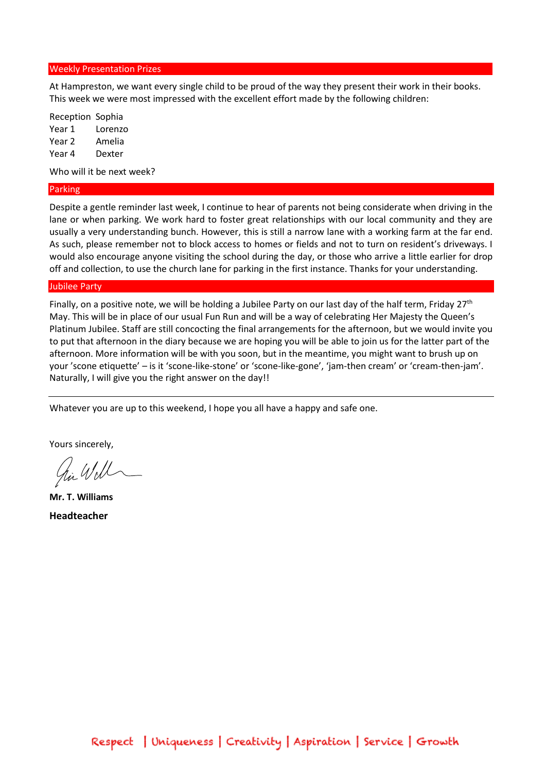#### Weekly Presentation Prizes

At Hampreston, we want every single child to be proud of the way they present their work in their books. This week we were most impressed with the excellent effort made by the following children:

Reception Sophia Year 1 Lorenzo Year 2 Amelia Year 4 Dexter

Who will it be next week?

#### Parking

Despite a gentle reminder last week, I continue to hear of parents not being considerate when driving in the lane or when parking. We work hard to foster great relationships with our local community and they are usually a very understanding bunch. However, this is still a narrow lane with a working farm at the far end. As such, please remember not to block access to homes or fields and not to turn on resident's driveways. I would also encourage anyone visiting the school during the day, or those who arrive a little earlier for drop off and collection, to use the church lane for parking in the first instance. Thanks for your understanding.

#### Jubilee Party

Finally, on a positive note, we will be holding a Jubilee Party on our last day of the half term, Friday  $27<sup>th</sup>$ May. This will be in place of our usual Fun Run and will be a way of celebrating Her Majesty the Queen's Platinum Jubilee. Staff are still concocting the final arrangements for the afternoon, but we would invite you to put that afternoon in the diary because we are hoping you will be able to join us for the latter part of the afternoon. More information will be with you soon, but in the meantime, you might want to brush up on your 'scone etiquette' – is it 'scone-like-stone' or 'scone-like-gone', 'jam-then cream' or 'cream-then-jam'. Naturally, I will give you the right answer on the day!!

Whatever you are up to this weekend, I hope you all have a happy and safe one.

Yours sincerely,

him Will

**Mr. T. Williams Headteacher**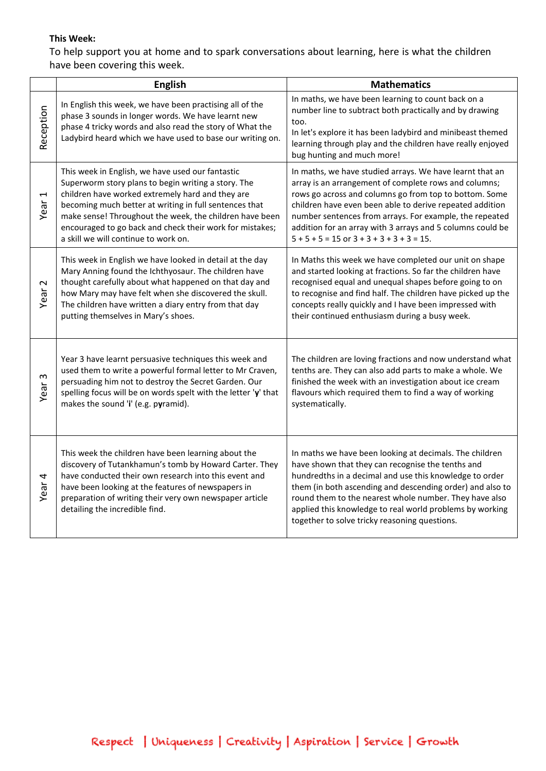# **This Week:**

To help support you at home and to spark conversations about learning, here is what the children have been covering this week.

|                               | <b>English</b>                                                                                                                                                                                                                                                                                                                                                                       | <b>Mathematics</b>                                                                                                                                                                                                                                                                                                                                                                                                 |
|-------------------------------|--------------------------------------------------------------------------------------------------------------------------------------------------------------------------------------------------------------------------------------------------------------------------------------------------------------------------------------------------------------------------------------|--------------------------------------------------------------------------------------------------------------------------------------------------------------------------------------------------------------------------------------------------------------------------------------------------------------------------------------------------------------------------------------------------------------------|
| Reception                     | In English this week, we have been practising all of the<br>phase 3 sounds in longer words. We have learnt new<br>phase 4 tricky words and also read the story of What the<br>Ladybird heard which we have used to base our writing on.                                                                                                                                              | In maths, we have been learning to count back on a<br>number line to subtract both practically and by drawing<br>too.<br>In let's explore it has been ladybird and minibeast themed<br>learning through play and the children have really enjoyed<br>bug hunting and much more!                                                                                                                                    |
| $\blacktriangleright$<br>Year | This week in English, we have used our fantastic<br>Superworm story plans to begin writing a story. The<br>children have worked extremely hard and they are<br>becoming much better at writing in full sentences that<br>make sense! Throughout the week, the children have been<br>encouraged to go back and check their work for mistakes;<br>a skill we will continue to work on. | In maths, we have studied arrays. We have learnt that an<br>array is an arrangement of complete rows and columns;<br>rows go across and columns go from top to bottom. Some<br>children have even been able to derive repeated addition<br>number sentences from arrays. For example, the repeated<br>addition for an array with 3 arrays and 5 columns could be<br>$5 + 5 + 5 = 15$ or $3 + 3 + 3 + 3 + 3 = 15$ . |
| $\sim$<br>Year                | This week in English we have looked in detail at the day<br>Mary Anning found the Ichthyosaur. The children have<br>thought carefully about what happened on that day and<br>how Mary may have felt when she discovered the skull.<br>The children have written a diary entry from that day<br>putting themselves in Mary's shoes.                                                   | In Maths this week we have completed our unit on shape<br>and started looking at fractions. So far the children have<br>recognised equal and unequal shapes before going to on<br>to recognise and find half. The children have picked up the<br>concepts really quickly and I have been impressed with<br>their continued enthusiasm during a busy week.                                                          |
| $\mathsf{c}$<br>Year          | Year 3 have learnt persuasive techniques this week and<br>used them to write a powerful formal letter to Mr Craven,<br>persuading him not to destroy the Secret Garden. Our<br>spelling focus will be on words spelt with the letter 'y' that<br>makes the sound 'i' (e.g. pyramid).                                                                                                 | The children are loving fractions and now understand what<br>tenths are. They can also add parts to make a whole. We<br>finished the week with an investigation about ice cream<br>flavours which required them to find a way of working<br>systematically.                                                                                                                                                        |
| Year 4                        | This week the children have been learning about the<br>discovery of Tutankhamun's tomb by Howard Carter. They<br>have conducted their own research into this event and<br>have been looking at the features of newspapers in<br>preparation of writing their very own newspaper article<br>detailing the incredible find.                                                            | In maths we have been looking at decimals. The children<br>have shown that they can recognise the tenths and<br>hundredths in a decimal and use this knowledge to order<br>them (in both ascending and descending order) and also to<br>round them to the nearest whole number. They have also<br>applied this knowledge to real world problems by working<br>together to solve tricky reasoning questions.        |